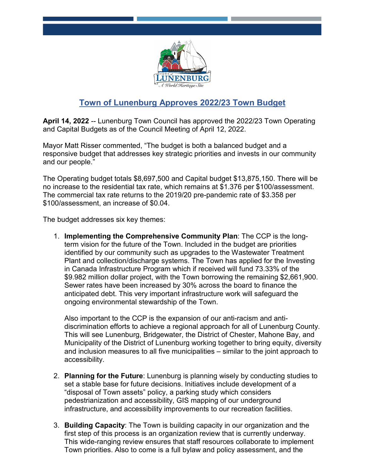

## **Town of Lunenburg Approves 2022/23 Town Budget**

**April 14, 2022** -- Lunenburg Town Council has approved the 2022/23 Town Operating and Capital Budgets as of the Council Meeting of April 12, 2022.

Mayor Matt Risser commented, "The budget is both a balanced budget and a responsive budget that addresses key strategic priorities and invests in our community and our people."

The Operating budget totals \$8,697,500 and Capital budget \$13,875,150. There will be no increase to the residential tax rate, which remains at \$1.376 per \$100/assessment. The commercial tax rate returns to the 2019/20 pre-pandemic rate of \$3.358 per \$100/assessment, an increase of \$0.04.

The budget addresses six key themes:

1. **Implementing the Comprehensive Community Plan**: The CCP is the longterm vision for the future of the Town. Included in the budget are priorities identified by our community such as upgrades to the Wastewater Treatment Plant and collection/discharge systems. The Town has applied for the Investing in Canada Infrastructure Program which if received will fund 73.33% of the \$9.982 million dollar project, with the Town borrowing the remaining \$2,661,900. Sewer rates have been increased by 30% across the board to finance the anticipated debt. This very important infrastructure work will safeguard the ongoing environmental stewardship of the Town.

Also important to the CCP is the expansion of our anti-racism and antidiscrimination efforts to achieve a regional approach for all of Lunenburg County. This will see Lunenburg, Bridgewater, the District of Chester, Mahone Bay, and Municipality of the District of Lunenburg working together to bring equity, diversity and inclusion measures to all five municipalities – similar to the joint approach to accessibility.

- 2. **Planning for the Future**: Lunenburg is planning wisely by conducting studies to set a stable base for future decisions. Initiatives include development of a "disposal of Town assets" policy, a parking study which considers pedestrianization and accessibility, GIS mapping of our underground infrastructure, and accessibility improvements to our recreation facilities.
- 3. **Building Capacity**: The Town is building capacity in our organization and the first step of this process is an organization review that is currently underway. This wide-ranging review ensures that staff resources collaborate to implement Town priorities. Also to come is a full bylaw and policy assessment, and the